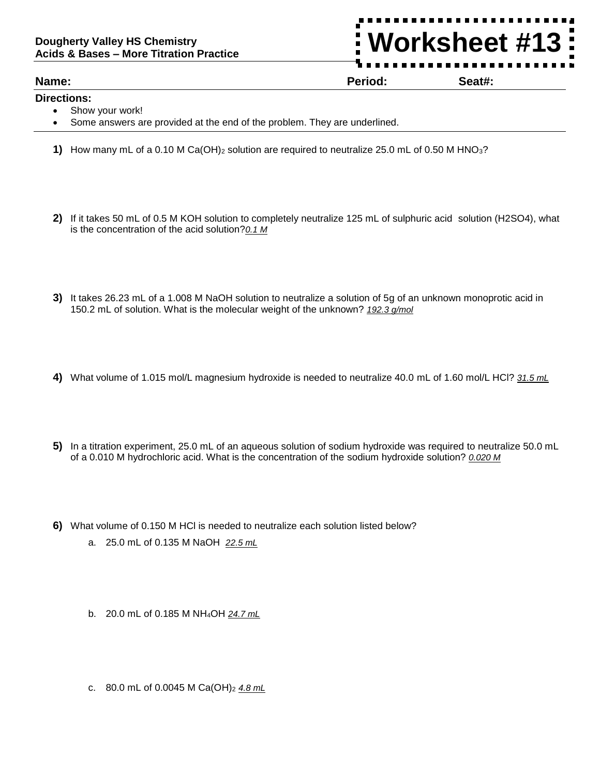## **Dougherty Valley HS Chemistry Acids & Bases – More Titration Practice**

## **Name: Period: Seat#:**

**Directions:** 

- Show your work!
- Some answers are provided at the end of the problem. They are underlined.
- **1)** How many mL of a 0.10 M Ca(OH)<sup>2</sup> solution are required to neutralize 25.0 mL of 0.50 M HNO3?
- **2)** If it takes 50 mL of 0.5 M KOH solution to completely neutralize 125 mL of sulphuric acid solution (H2SO4), what is the concentration of the acid solution?*0.1 M*
- **3)** It takes 26.23 mL of a 1.008 M NaOH solution to neutralize a solution of 5g of an unknown monoprotic acid in 150.2 mL of solution. What is the molecular weight of the unknown? *192.3 g/mol*
- **4)** What volume of 1.015 mol/L magnesium hydroxide is needed to neutralize 40.0 mL of 1.60 mol/L HCl? *31.5 mL*
- **5)** In a titration experiment, 25.0 mL of an aqueous solution of sodium hydroxide was required to neutralize 50.0 mL of a 0.010 M hydrochloric acid. What is the concentration of the sodium hydroxide solution? *0.020 M*
- **6)** What volume of 0.150 M HCl is needed to neutralize each solution listed below?
	- a. 25.0 mL of 0.135 M NaOH *22.5 mL*
	- b. 20.0 mL of 0.185 M NH4OH *24.7 mL*
	- c. 80.0 mL of 0.0045 M Ca(OH)<sup>2</sup> *4.8 mL*

**Worksheet #13**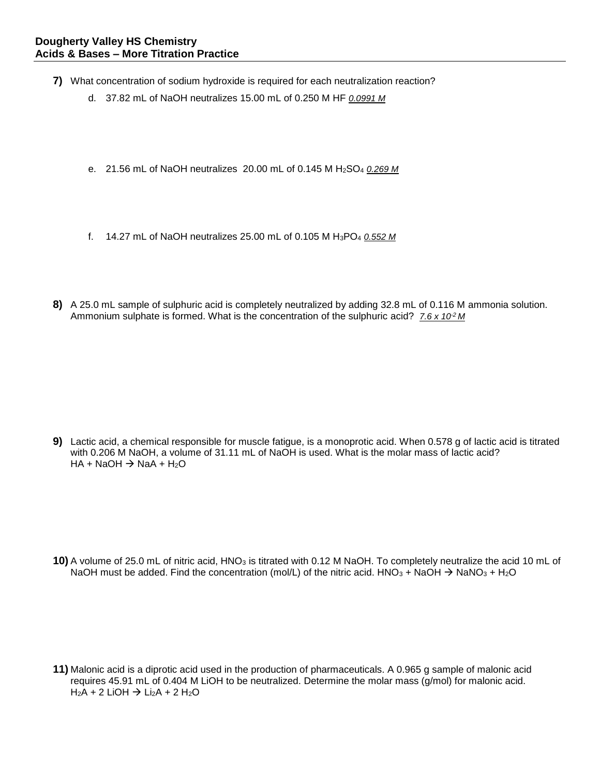- **7)** What concentration of sodium hydroxide is required for each neutralization reaction?
	- d. 37.82 mL of NaOH neutralizes 15.00 mL of 0.250 M HF *0.0991 M*
	- e. 21.56 mL of NaOH neutralizes 20.00 mL of 0.145 M H2SO<sup>4</sup> *0.269 M*
	- f. 14.27 mL of NaOH neutralizes 25.00 mL of 0.105 M H3PO<sup>4</sup> *0.552 M*
- **8)** A 25.0 mL sample of sulphuric acid is completely neutralized by adding 32.8 mL of 0.116 M ammonia solution. Ammonium sulphate is formed. What is the concentration of the sulphuric acid? 7.6 x 10<sup>2</sup> M

**9)** Lactic acid, a chemical responsible for muscle fatigue, is a monoprotic acid. When 0.578 g of lactic acid is titrated with 0.206 M NaOH, a volume of 31.11 mL of NaOH is used. What is the molar mass of lactic acid?  $HA + NaOH \rightarrow NaA + H<sub>2</sub>O$ 

**10)** A volume of 25.0 mL of nitric acid, HNO<sub>3</sub> is titrated with 0.12 M NaOH. To completely neutralize the acid 10 mL of NaOH must be added. Find the concentration (mol/L) of the nitric acid. HNO<sub>3</sub> + NaOH  $\rightarrow$  NaNO<sub>3</sub> + H<sub>2</sub>O

**11)** Malonic acid is a diprotic acid used in the production of pharmaceuticals. A 0.965 g sample of malonic acid requires 45.91 mL of 0.404 M LiOH to be neutralized. Determine the molar mass (g/mol) for malonic acid.  $H_2A + 2$  LiOH  $\rightarrow$  Li<sub>2</sub>A + 2 H<sub>2</sub>O